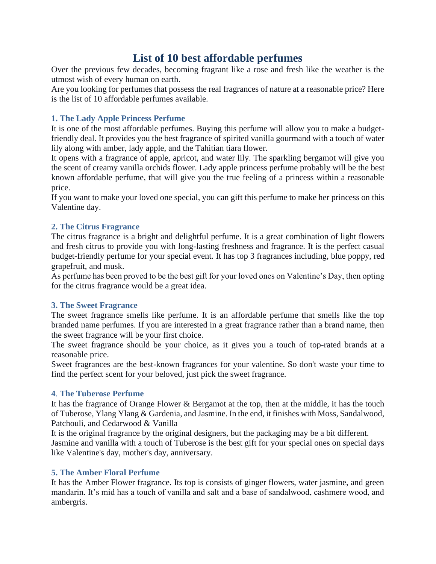# **List of 10 best affordable perfumes**

Over the previous few decades, becoming fragrant like a rose and fresh like the weather is the utmost wish of every human on earth.

Are you looking for perfumes that possess the real fragrances of nature at a reasonable price? Here is the list of 10 affordable perfumes available.

# **1. The Lady Apple Princess Perfume**

It is one of the most affordable perfumes. Buying this perfume will allow you to make a budgetfriendly deal. It provides you the best fragrance of spirited vanilla gourmand with a touch of water lily along with amber, lady apple, and the Tahitian tiara flower.

It opens with a fragrance of apple, apricot, and water lily. The sparkling bergamot will give you the scent of creamy vanilla orchids flower. Lady apple princess perfume probably will be the best known affordable perfume, that will give you the true feeling of a princess within a reasonable price.

If you want to make your loved one special, you can gift this perfume to make her princess on this Valentine day.

# **2. The Citrus Fragrance**

The citrus fragrance is a bright and delightful perfume. It is a great combination of light flowers and fresh citrus to provide you with long-lasting freshness and fragrance. It is the perfect casual budget-friendly perfume for your special event. It has top 3 fragrances including, blue poppy, red grapefruit, and musk.

As perfume has been proved to be the best gift for your loved ones on Valentine's Day, then opting for the citrus fragrance would be a great idea.

# **3. The Sweet Fragrance**

The sweet fragrance smells like perfume. It is an affordable perfume that smells like the top branded name perfumes. If you are interested in a great fragrance rather than a brand name, then the sweet fragrance will be your first choice.

The sweet fragrance should be your choice, as it gives you a touch of top-rated brands at a reasonable price.

Sweet fragrances are the best-known fragrances for your valentine. So don't waste your time to find the perfect scent for your beloved, just pick the sweet fragrance.

# **4**. **The Tuberose Perfume**

It has the fragrance of Orange Flower & Bergamot at the top, then at the middle, it has the touch of Tuberose, Ylang Ylang & Gardenia, and Jasmine. In the end, it finishes with Moss, Sandalwood, Patchouli, and Cedarwood & Vanilla

It is the original fragrance by the original designers, but the packaging may be a bit different. Jasmine and vanilla with a touch of Tuberose is the best gift for your special ones on special days like Valentine's day, mother's day, anniversary.

# **5. The Amber Floral Perfume**

It has the Amber Flower fragrance. Its top is consists of ginger flowers, water jasmine, and green mandarin. It's mid has a touch of vanilla and salt and a base of sandalwood, cashmere wood, and ambergris.